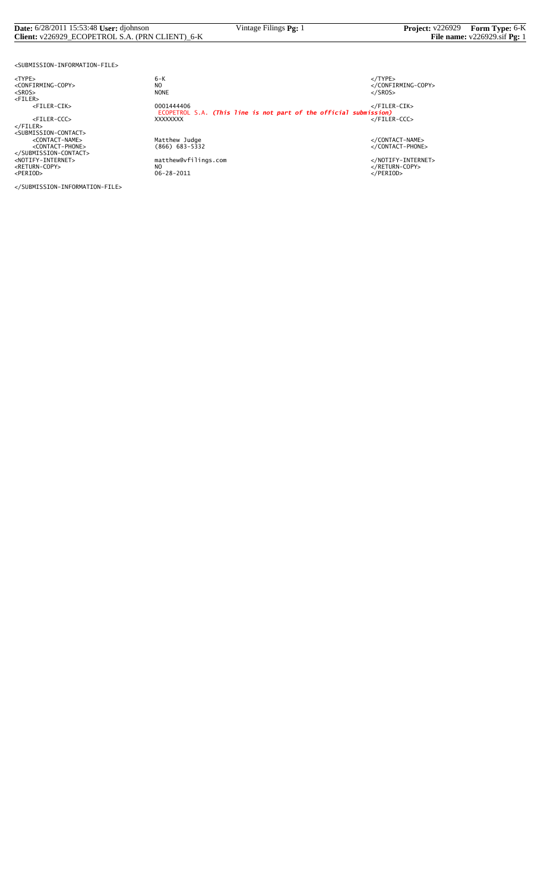#### **Date:** 6/28/2011 15:53:48 **User:** djohnson Vintage Filings **Pg:** 1 **Project:** v226929 **Form Type:** 6-K **Client:** v226929\_ECOPETROL S.A. (PRN CLIENT)\_6-K **File name:** v226929.sif **Pg:** 1

<SUBMISSION-INFORMATION-FILE>

<TYPE> 6-K </TYPE>

</SUBMISSION-INFORMATION-FILE>

 $6 - K$ NO<br>
NO<br>
NONE<br>
NONE<br>
NONE<br>
S/SROS> <SROS> NONE </SROS> <FILER> <FILER-CIK> 0001444406 </FILER-CIK> ECOPETROL S.A. *(This line is not part of the official submission)* <FILER-CCC> XXXXXXXX </FILER-CCC> </FILER> <SUBMISSION-CONTACT> <CONTACT-NAME> Matthew Judge </CONTACT-NAME> <CONTACT-PHONE> (866) 683-5332 </CONTACT-PHONE> </SUBMISSION-CONTACT> <NOTIFY-INTERNET> matthew@vfilings.com </NOTIFY-INTERNET> <RETURN-COPY> NO </RETURN-COPY> <PERIOD> 06-28-2011 </PERIOD>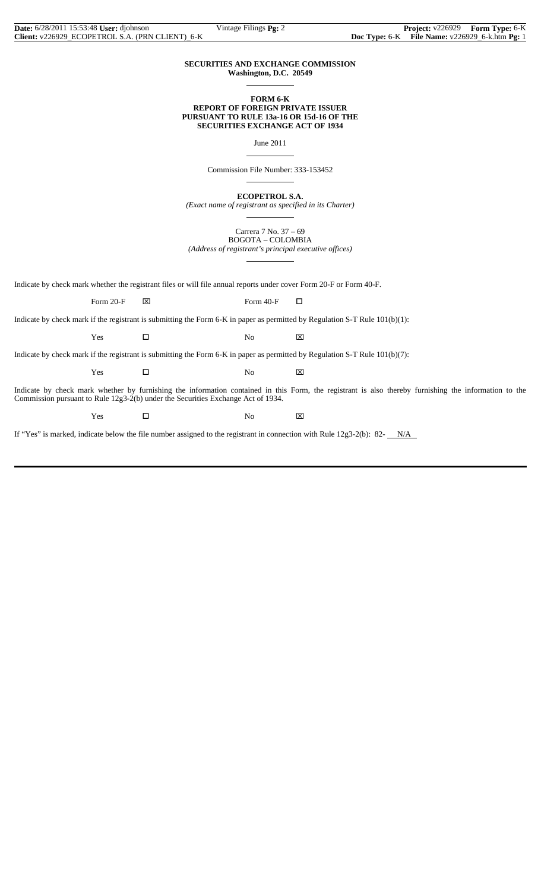#### **SECURITIES AND EXCHANGE COMMISSION Washington, D.C. 20549**

 $\overline{a}$ 

 $\overline{a}$ 

 $\overline{a}$ 

 $\overline{a}$ 

#### **FORM 6-K REPORT OF FOREIGN PRIVATE ISSUER PURSUANT TO RULE 13a-16 OR 15d-16 OF THE SECURITIES EXCHANGE ACT OF 1934**

June 2011

Commission File Number: 333-153452

**ECOPETROL S.A.**

*(Exact name of registrant as specified in its Charter)*  $\overline{a}$ 

> Carrera 7 No. 37 – 69 BOGOTA – COLOMBIA

*(Address of registrant's principal executive offices)*

Indicate by check mark whether the registrant files or will file annual reports under cover Form 20-F or Form 40-F.

Form 20-F  $\boxtimes$  Form 40-F  $\Box$ 

Indicate by check mark if the registrant is submitting the Form 6-K in paper as permitted by Regulation S-T Rule 101(b)(1):

 $Yes$   $\Box$  No  $\boxtimes$ 

Indicate by check mark if the registrant is submitting the Form 6-K in paper as permitted by Regulation S-T Rule 101(b)(7):

 $Yes$   $\Box$  No  $\boxtimes$ 

Indicate by check mark whether by furnishing the information contained in this Form, the registrant is also thereby furnishing the information to the Commission pursuant to Rule 12g3-2(b) under the Securities Exchange Act of 1934.

Yes □ No ⊠

If "Yes" is marked, indicate below the file number assigned to the registrant in connection with Rule  $12g3-2(b)$ : 82- $N/A$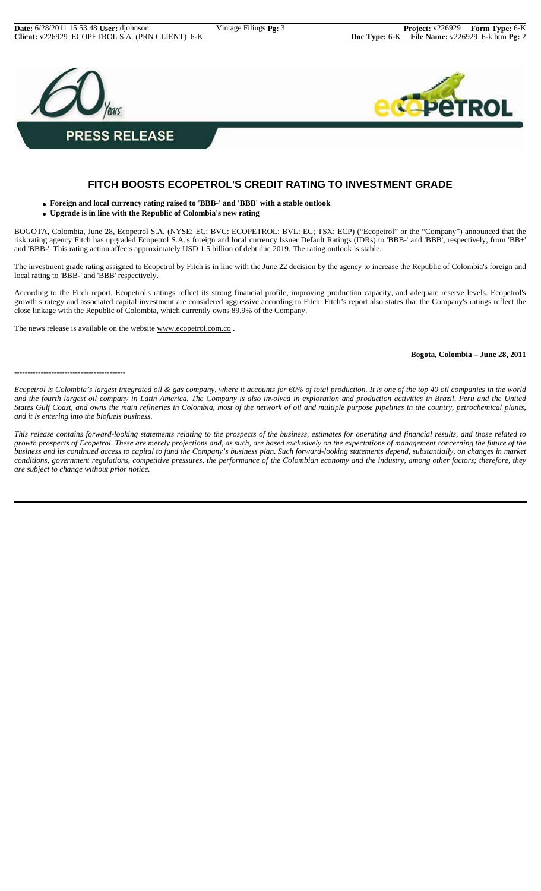

## **FITCH BOOSTS ECOPETROL'S CREDIT RATING TO INVESTMENT GRADE**

- **Foreign and local currency rating raised to 'BBB-' and 'BBB' with a stable outlook**
- **Upgrade is in line with the Republic of Colombia's new rating**

BOGOTA, Colombia, June 28, Ecopetrol S.A. (NYSE: EC; BVC: ECOPETROL; BVL: EC; TSX: ECP) ("Ecopetrol" or the "Company") announced that the risk rating agency Fitch has upgraded Ecopetrol S.A.'s foreign and local currency Issuer Default Ratings (IDRs) to 'BBB-' and 'BBB', respectively, from 'BB+' and 'BBB-'. This rating action affects approximately USD 1.5 billion of debt due 2019. The rating outlook is stable.

The investment grade rating assigned to Ecopetrol by Fitch is in line with the June 22 decision by the agency to increase the Republic of Colombia's foreign and local rating to 'BBB-' and 'BBB' respectively.

According to the Fitch report, Ecopetrol's ratings reflect its strong financial profile, improving production capacity, and adequate reserve levels. Ecopetrol's growth strategy and associated capital investment are considered aggressive according to Fitch. Fitch's report also states that the Company's ratings reflect the close linkage with the Republic of Colombia, which currently owns 89.9% of the Company.

The news release is available on the website www.ecopetrol.com.co.

**Bogota, Colombia – June 28, 2011**

```
------------------------------------------
```
*Ecopetrol is Colombia's largest integrated oil & gas company, where it accounts for 60% of total production. It is one of the top 40 oil companies in the world and the fourth largest oil company in Latin America. The Company is also involved in exploration and production activities in Brazil, Peru and the United States Gulf Coast, and owns the main refineries in Colombia, most of the network of oil and multiple purpose pipelines in the country, petrochemical plants, and it is entering into the biofuels business.*

*This release contains forward-looking statements relating to the prospects of the business, estimates for operating and financial results, and those related to growth prospects of Ecopetrol. These are merely projections and, as such, are based exclusively on the expectations of management concerning the future of the business and its continued access to capital to fund the Company's business plan. Such forward-looking statements depend, substantially, on changes in market conditions, government regulations, competitive pressures, the performance of the Colombian economy and the industry, among other factors; therefore, they are subject to change without prior notice.*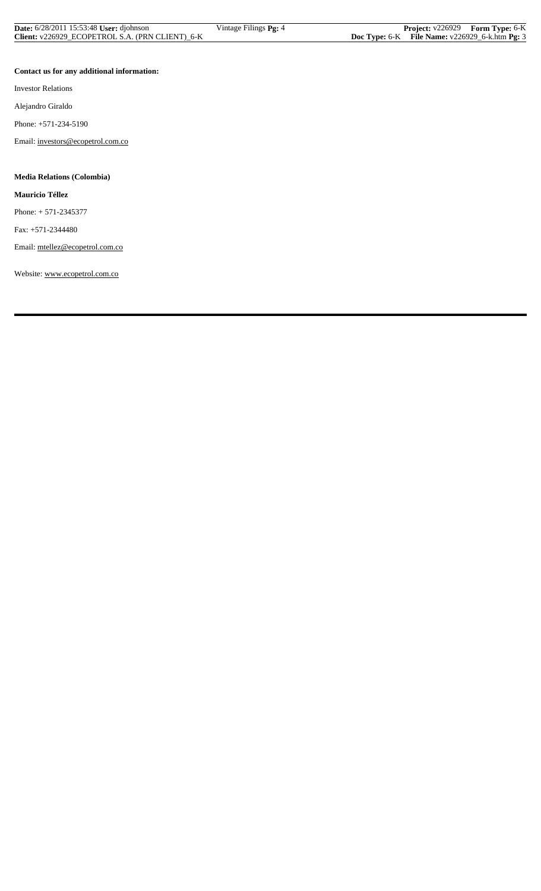| <b>Date:</b> 6/28/2011 15:53:48 User: diohnson  | Vintage Filings <b>Pg:</b> 4 | <b>Project:</b> $v226929$ <b>Form Type:</b> 6-K     |  |
|-------------------------------------------------|------------------------------|-----------------------------------------------------|--|
| Client: v226929_ECOPETROL S.A. (PRN CLIENT)_6-K |                              | Doc Type: $6-K$ File Name: $v226929_6$ -k.htm Pg: 3 |  |

### **Contact us for any additional information:**

Investor Relations

Alejandro Giraldo

Phone: +571-234-5190

Email: investors@ecopetrol.com.co

## **Media Relations (Colombia)**

**Mauricio Téllez**

Phone: + 571-2345377

Fax: +571-2344480

Email: mtellez@ecopetrol.com.co

Website: www.ecopetrol.com.co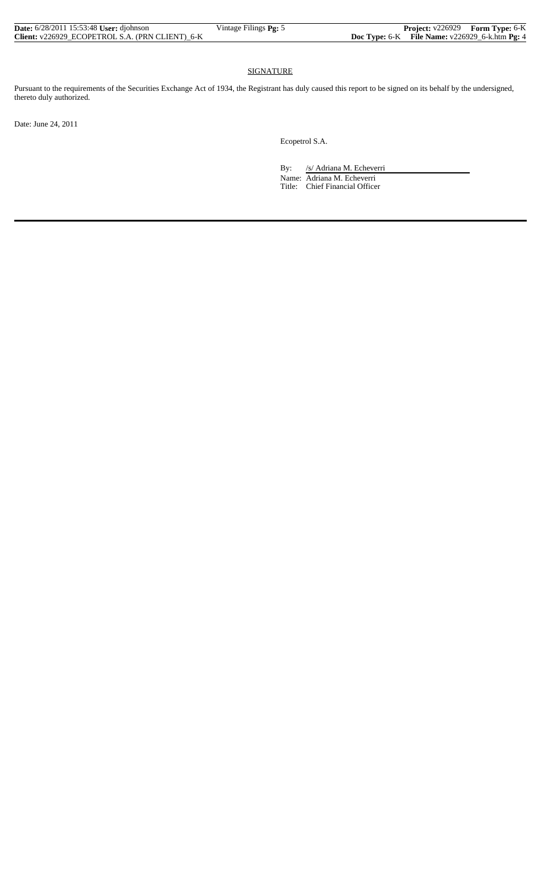| <b>Date:</b> 6/28/2011 15:53:48 User: diohnson  | Vintage Filings $Pg: 5$ |                                                     | <b>Project:</b> v226929 Form Type: 6-K |
|-------------------------------------------------|-------------------------|-----------------------------------------------------|----------------------------------------|
| Client: v226929 ECOPETROL S.A. (PRN CLIENT) 6-K |                         | Doc Type: $6-K$ File Name: $v226929_6$ -k.htm Pg: 4 |                                        |

#### SIGNATURE

Pursuant to the requirements of the Securities Exchange Act of 1934, the Registrant has duly caused this report to be signed on its behalf by the undersigned, thereto duly authorized.

Date: June 24, 2011

Ecopetrol S.A.

By: /s/ Adriana M. Echeverri

 Name: Adriana M. Echeverri Title: Chief Financial Officer